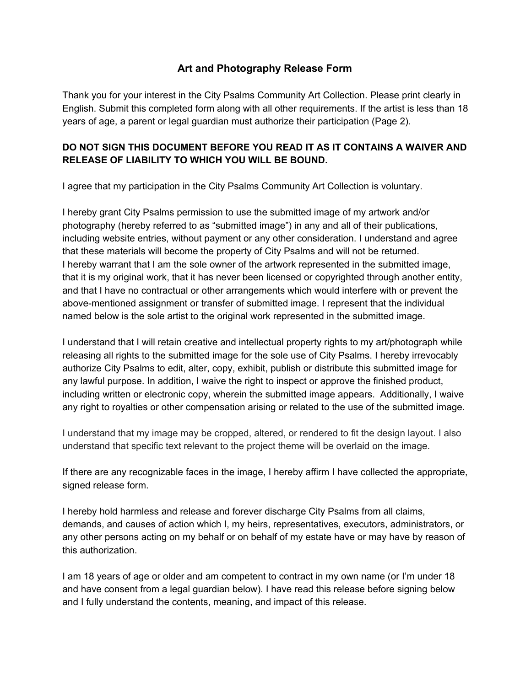## **Art and Photography Release Form**

Thank you for your interest in the City Psalms Community Art Collection. Please print clearly in English. Submit this completed form along with all other requirements. If the artist is less than 18 years of age, a parent or legal guardian must authorize their participation (Page 2).

## **DO NOT SIGN THIS DOCUMENT BEFORE YOU READ IT AS IT CONTAINS A WAIVER AND RELEASE OF LIABILITY TO WHICH YOU WILL BE BOUND.**

I agree that my participation in the City Psalms Community Art Collection is voluntary.

I hereby grant City Psalms permission to use the submitted image of my artwork and/or photography (hereby referred to as "submitted image") in any and all of their publications, including website entries, without payment or any other consideration. I understand and agree that these materials will become the property of City Psalms and will not be returned. I hereby warrant that I am the sole owner of the artwork represented in the submitted image, that it is my original work, that it has never been licensed or copyrighted through another entity, and that I have no contractual or other arrangements which would interfere with or prevent the above-mentioned assignment or transfer of submitted image. I represent that the individual named below is the sole artist to the original work represented in the submitted image.

I understand that I will retain creative and intellectual property rights to my art/photograph while releasing all rights to the submitted image for the sole use of City Psalms. I hereby irrevocably authorize City Psalms to edit, alter, copy, exhibit, publish or distribute this submitted image for any lawful purpose. In addition, I waive the right to inspect or approve the finished product, including written or electronic copy, wherein the submitted image appears. Additionally, I waive any right to royalties or other compensation arising or related to the use of the submitted image.

I understand that my image may be cropped, altered, or rendered to fit the design layout. I also understand that specific text relevant to the project theme will be overlaid on the image.

If there are any recognizable faces in the image, I hereby affirm I have collected the appropriate, signed release form.

I hereby hold harmless and release and forever discharge City Psalms from all claims, demands, and causes of action which I, my heirs, representatives, executors, administrators, or any other persons acting on my behalf or on behalf of my estate have or may have by reason of this authorization.

I am 18 years of age or older and am competent to contract in my own name (or I'm under 18 and have consent from a legal guardian below). I have read this release before signing below and I fully understand the contents, meaning, and impact of this release.